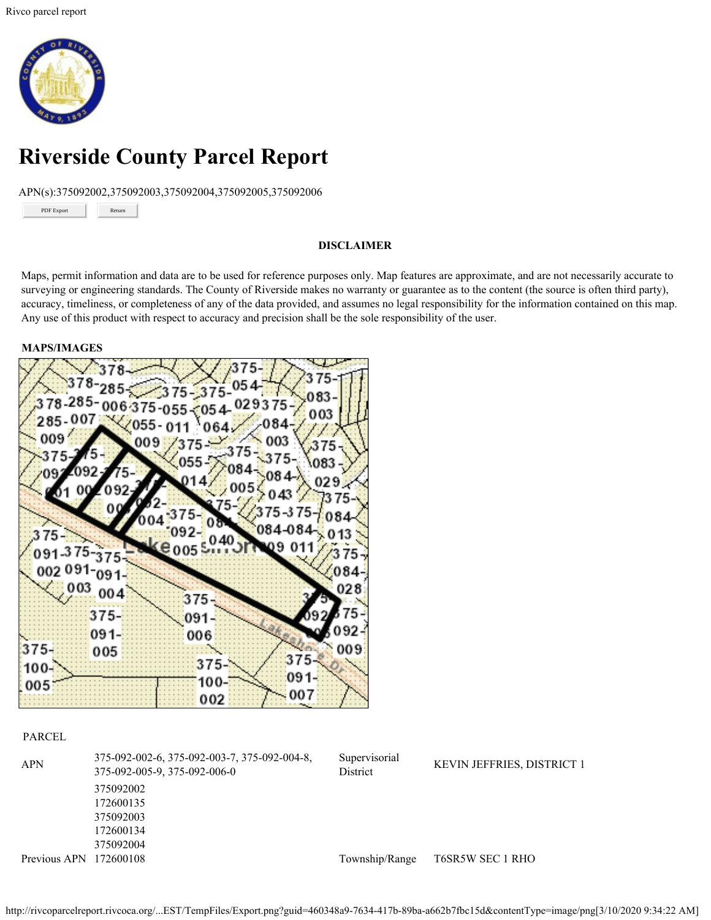

# **Riverside County Parcel Report**

APN(s):375092002,375092003,375092004,375092005,375092006

PDF Export

Return

#### **DISCLAIMER**

Maps, permit information and data are to be used for reference purposes only. Map features are approximate, and are not necessarily accurate to surveying or engineering standards. The County of Riverside makes no warranty or guarantee as to the content (the source is often third party), accuracy, timeliness, or completeness of any of the data provided, and assumes no legal responsibility for the information contained on this map. Any use of this product with respect to accuracy and precision shall be the sole responsibility of the user.

#### **MAPS/IMAGES**



#### PARCEL

| <b>APN</b>             | 375-092-002-6, 375-092-003-7, 375-092-004-8,<br>375-092-005-9, 375-092-006-0 | Supervisorial<br>District | <b>KEVIN JEFFRIES, DISTRICT 1</b> |
|------------------------|------------------------------------------------------------------------------|---------------------------|-----------------------------------|
|                        | 375092002                                                                    |                           |                                   |
|                        | 172600135                                                                    |                           |                                   |
|                        | 375092003                                                                    |                           |                                   |
|                        | 172600134                                                                    |                           |                                   |
|                        | 375092004                                                                    |                           |                                   |
| Previous APN 172600108 |                                                                              | Township/Range            | T6SR5W SEC 1 RHO                  |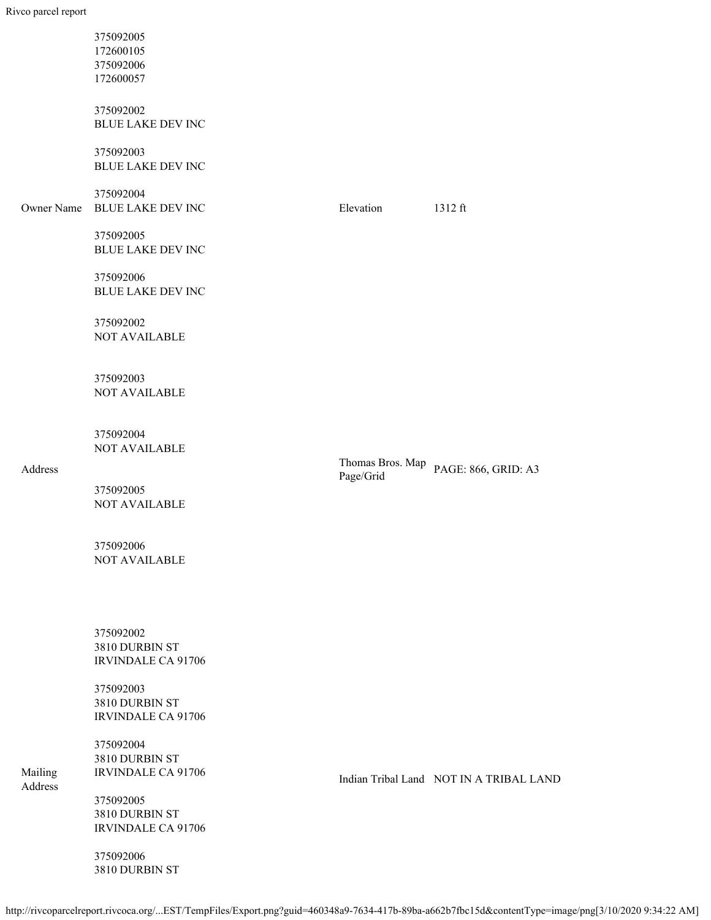|            | 375092005<br>172600105<br>375092006<br>172600057         |                  |                                         |
|------------|----------------------------------------------------------|------------------|-----------------------------------------|
|            | 375092002<br><b>BLUE LAKE DEV INC</b>                    |                  |                                         |
|            | 375092003<br><b>BLUE LAKE DEV INC</b>                    |                  |                                         |
| Owner Name | 375092004<br><b>BLUE LAKE DEV INC</b>                    | Elevation        | $1312$ ft                               |
|            | 375092005<br><b>BLUE LAKE DEV INC</b>                    |                  |                                         |
|            | 375092006<br><b>BLUE LAKE DEV INC</b>                    |                  |                                         |
|            | 375092002<br>NOT AVAILABLE                               |                  |                                         |
|            | 375092003<br><b>NOT AVAILABLE</b>                        |                  |                                         |
|            | 375092004<br><b>NOT AVAILABLE</b>                        | Thomas Bros. Map |                                         |
| Address    | 375092005<br><b>NOT AVAILABLE</b>                        | Page/Grid        | PAGE: 866, GRID: A3                     |
|            | 375092006<br><b>NOT AVAILABLE</b>                        |                  |                                         |
|            | 375092002<br>3810 DURBIN ST<br><b>IRVINDALE CA 91706</b> |                  |                                         |
|            | 375092003<br>3810 DURBIN ST<br><b>IRVINDALE CA 91706</b> |                  |                                         |
| Mailing    | 375092004<br>3810 DURBIN ST<br><b>IRVINDALE CA 91706</b> |                  | Indian Tribal Land NOT IN A TRIBAL LAND |
| Address    | 375092005                                                |                  |                                         |

3810 DURBIN ST IRVINDALE CA 91706

375092006 3810 DURBIN ST

http://rivcoparcelreport.rivcoca.org/...EST/TempFiles/Export.png?guid=460348a9-7634-417b-89ba-a662b7fbc15d&contentType=image/png[3/10/2020 9:34:22 AM]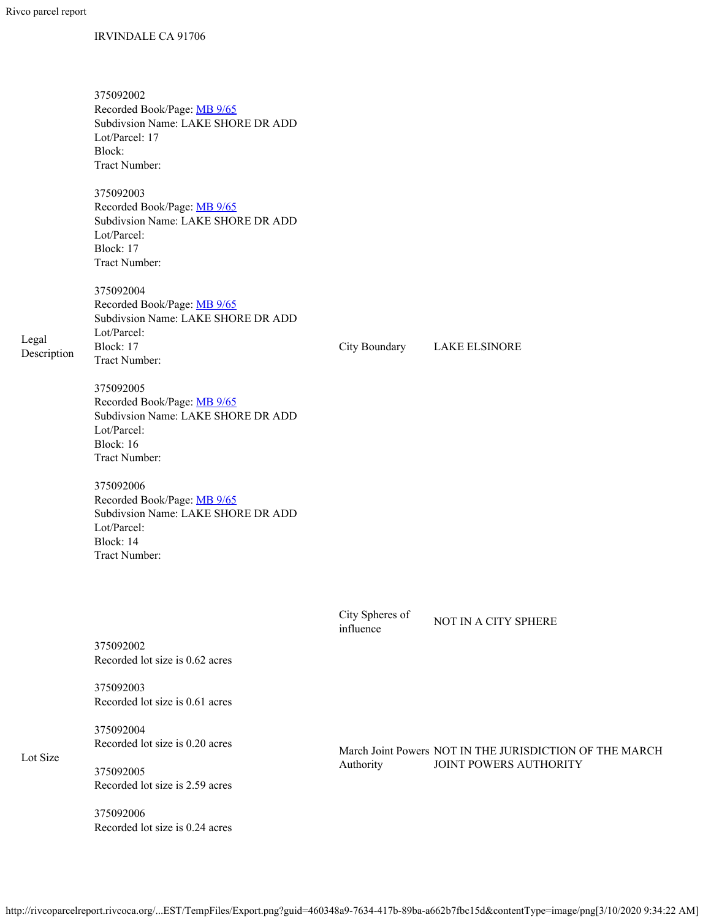## IRVINDALE CA 91706

|                      | 375092002<br>Recorded Book/Page: MB 9/65<br>Subdivsion Name: LAKE SHORE DR ADD<br>Lot/Parcel: 17<br>Block:<br>Tract Number: |                              |                                                         |  |  |
|----------------------|-----------------------------------------------------------------------------------------------------------------------------|------------------------------|---------------------------------------------------------|--|--|
|                      | 375092003<br>Recorded Book/Page: MB 9/65<br>Subdivsion Name: LAKE SHORE DR ADD<br>Lot/Parcel:<br>Block: 17<br>Tract Number: |                              |                                                         |  |  |
| Legal<br>Description | 375092004<br>Recorded Book/Page: MB 9/65<br>Subdivsion Name: LAKE SHORE DR ADD<br>Lot/Parcel:<br>Block: 17<br>Tract Number: | City Boundary                | <b>LAKE ELSINORE</b>                                    |  |  |
|                      | 375092005<br>Recorded Book/Page: MB 9/65<br>Subdivsion Name: LAKE SHORE DR ADD<br>Lot/Parcel:<br>Block: 16<br>Tract Number: |                              |                                                         |  |  |
|                      | 375092006<br>Recorded Book/Page: MB 9/65<br>Subdivsion Name: LAKE SHORE DR ADD<br>Lot/Parcel:<br>Block: 14<br>Tract Number: |                              |                                                         |  |  |
|                      | 375092002<br>Recorded lot size is 0.62 acres                                                                                | City Spheres of<br>influence | NOT IN A CITY SPHERE                                    |  |  |
|                      | 375092003<br>Recorded lot size is 0.61 acres                                                                                |                              |                                                         |  |  |
| Lot Size             | 375092004<br>Recorded lot size is 0.20 acres                                                                                |                              | March Joint Powers NOT IN THE JURISDICTION OF THE MARCH |  |  |
|                      | 375092005<br>Recorded lot size is 2.59 acres                                                                                | Authority                    | JOINT POWERS AUTHORITY                                  |  |  |
|                      | 375092006<br>Recorded lot size is 0.24 acres                                                                                |                              |                                                         |  |  |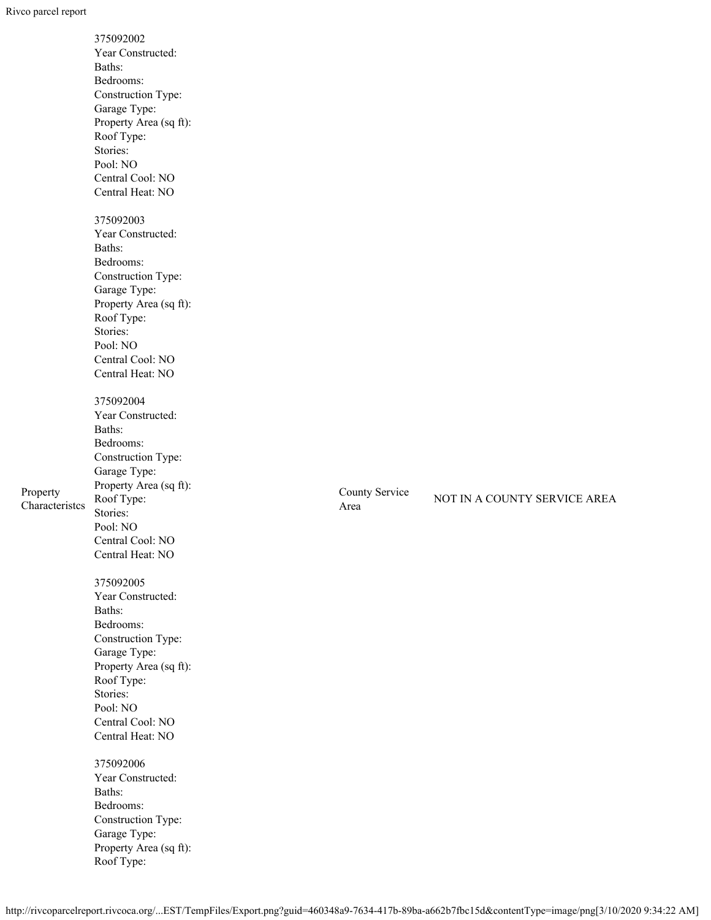|                            | 375092002<br>Year Constructed:<br>Baths:<br>Bedrooms:<br>Construction Type:<br>Garage Type:<br>Property Area (sq ft):<br>Roof Type:<br>Stories:<br>Pool: NO<br>Central Cool: NO<br>Central Heat: NO |                        |                              |
|----------------------------|-----------------------------------------------------------------------------------------------------------------------------------------------------------------------------------------------------|------------------------|------------------------------|
|                            | 375092003<br>Year Constructed:<br>Baths:<br>Bedrooms:<br>Construction Type:<br>Garage Type:<br>Property Area (sq ft):<br>Roof Type:<br>Stories:<br>Pool: NO<br>Central Cool: NO<br>Central Heat: NO |                        |                              |
| Property<br>Characteristes | 375092004<br>Year Constructed:<br>Baths:<br>Bedrooms:<br>Construction Type:<br>Garage Type:<br>Property Area (sq ft):<br>Roof Type:<br>Stories:<br>Pool: NO<br>Central Cool: NO<br>Central Heat: NO | County Service<br>Area | NOT IN A COUNTY SERVICE AREA |
|                            | 375092005<br>Year Constructed:<br>Baths:<br>Bedrooms:<br>Construction Type:<br>Garage Type:<br>Property Area (sq ft):<br>Roof Type:<br>Stories:<br>Pool: NO<br>Central Cool: NO<br>Central Heat: NO |                        |                              |
|                            | 375092006<br>Year Constructed:<br>Baths:<br>Bedrooms:<br>Construction Type:<br>Garage Type:<br>Property Area (sq ft):<br>Roof Type:                                                                 |                        |                              |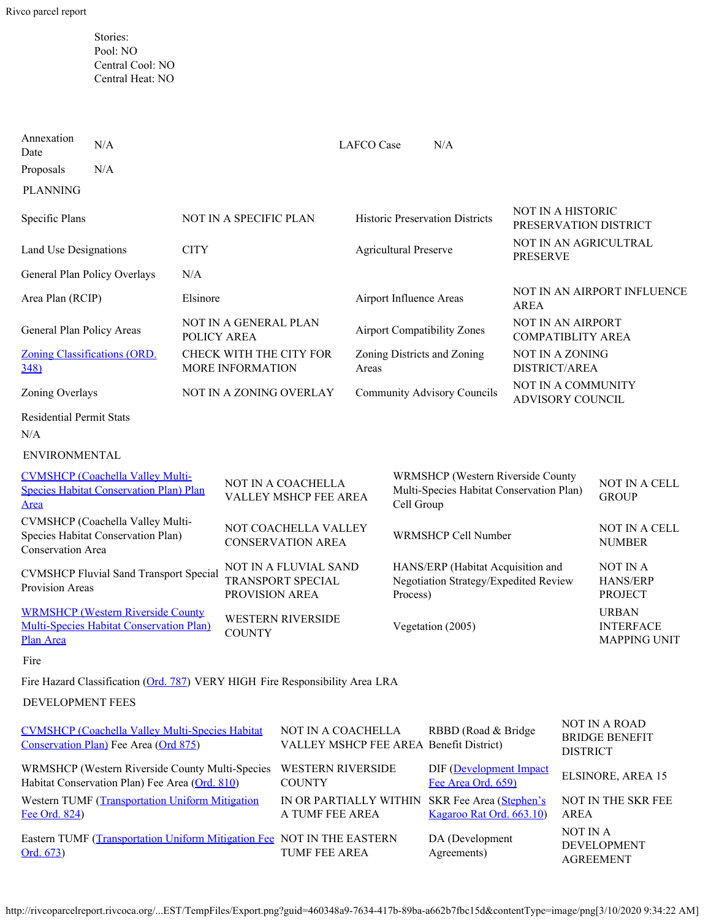Stories: Pool: NO Central Cool: NO Central Heat: NO

| Annexation<br>Date                                                                                       | N/A                                                                          |                                                                     |                                             |                                        |                                                                                                    | <b>LAFCO</b> Case<br>N/A                                           |                                                      |                                                         |                                        |  |
|----------------------------------------------------------------------------------------------------------|------------------------------------------------------------------------------|---------------------------------------------------------------------|---------------------------------------------|----------------------------------------|----------------------------------------------------------------------------------------------------|--------------------------------------------------------------------|------------------------------------------------------|---------------------------------------------------------|----------------------------------------|--|
| Proposals                                                                                                | N/A                                                                          |                                                                     |                                             |                                        |                                                                                                    |                                                                    |                                                      |                                                         |                                        |  |
| <b>PLANNING</b>                                                                                          |                                                                              |                                                                     |                                             |                                        |                                                                                                    |                                                                    |                                                      |                                                         |                                        |  |
| Specific Plans                                                                                           |                                                                              | NOT IN A SPECIFIC PLAN                                              |                                             | <b>Historic Preservation Districts</b> |                                                                                                    | <b>NOT IN A HISTORIC</b><br>PRESERVATION DISTRICT                  |                                                      |                                                         |                                        |  |
| Land Use Designations                                                                                    |                                                                              | <b>CITY</b>                                                         |                                             |                                        | <b>Agricultural Preserve</b>                                                                       |                                                                    | NOT IN AN AGRICULTRAL<br><b>PRESERVE</b>             |                                                         |                                        |  |
| General Plan Policy Overlays                                                                             |                                                                              | N/A                                                                 |                                             |                                        |                                                                                                    |                                                                    |                                                      |                                                         |                                        |  |
| Area Plan (RCIP)                                                                                         |                                                                              | Elsinore                                                            |                                             |                                        | Airport Influence Areas                                                                            |                                                                    | NOT IN AN AIRPORT INFLUENCE<br><b>AREA</b>           |                                                         |                                        |  |
| General Plan Policy Areas                                                                                |                                                                              | POLICY AREA                                                         | NOT IN A GENERAL PLAN                       |                                        | <b>Airport Compatibility Zones</b>                                                                 |                                                                    | <b>NOT IN AN AIRPORT</b><br><b>COMPATIBLITY AREA</b> |                                                         |                                        |  |
| Zoning Classifications (ORD.<br>348                                                                      |                                                                              |                                                                     | CHECK WITH THE CITY FOR<br>MORE INFORMATION |                                        | Areas                                                                                              | Zoning Districts and Zoning                                        |                                                      | <b>NOT IN A ZONING</b><br>DISTRICT/AREA                 |                                        |  |
| Zoning Overlays                                                                                          |                                                                              |                                                                     |                                             | NOT IN A ZONING OVERLAY                |                                                                                                    |                                                                    | <b>Community Advisory Councils</b>                   | NOT IN A COMMUNITY<br>ADVISORY COUNCIL                  |                                        |  |
| <b>Residential Permit Stats</b><br>N/A                                                                   |                                                                              |                                                                     |                                             |                                        |                                                                                                    |                                                                    |                                                      |                                                         |                                        |  |
| <b>ENVIRONMENTAL</b>                                                                                     |                                                                              |                                                                     |                                             |                                        |                                                                                                    |                                                                    |                                                      |                                                         |                                        |  |
| <b>CVMSHCP</b> (Coachella Valley Multi-<br><b>Species Habitat Conservation Plan) Plan</b><br><u>Area</u> |                                                                              | NOT IN A COACHELLA<br>VALLEY MSHCP FEE AREA                         |                                             |                                        | <b>WRMSHCP</b> (Western Riverside County<br>Multi-Species Habitat Conservation Plan)<br>Cell Group |                                                                    |                                                      | NOT IN A CELL<br><b>GROUP</b>                           |                                        |  |
| CVMSHCP (Coachella Valley Multi-<br>Species Habitat Conservation Plan)<br><b>Conservation Area</b>       |                                                                              | NOT COACHELLA VALLEY<br><b>CONSERVATION AREA</b>                    |                                             |                                        | WRMSHCP Cell Number                                                                                |                                                                    |                                                      | <b>NOT IN A CELL</b><br><b>NUMBER</b>                   |                                        |  |
| <b>CVMSHCP Fluvial Sand Transport Special</b><br>Provision Areas                                         |                                                                              | NOT IN A FLUVIAL SAND<br><b>TRANSPORT SPECIAL</b><br>PROVISION AREA |                                             | Process)                               | HANS/ERP (Habitat Acquisition and<br>Negotiation Strategy/Expedited Review                         |                                                                    |                                                      | NOT IN A<br><b>HANS/ERP</b><br><b>PROJECT</b>           |                                        |  |
| <b>WRMSHCP (Western Riverside County</b><br><b>Multi-Species Habitat Conservation Plan)</b><br>Plan Area |                                                                              | <b>WESTERN RIVERSIDE</b><br><b>COUNTY</b>                           |                                             |                                        | Vegetation (2005)                                                                                  |                                                                    |                                                      | <b>URBAN</b><br><b>INTERFACE</b><br><b>MAPPING UNIT</b> |                                        |  |
| Fire                                                                                                     |                                                                              |                                                                     |                                             |                                        |                                                                                                    |                                                                    |                                                      |                                                         |                                        |  |
|                                                                                                          | Fire Hazard Classification (Ord. 787) VERY HIGH Fire Responsibility Area LRA |                                                                     |                                             |                                        |                                                                                                    |                                                                    |                                                      |                                                         |                                        |  |
| DEVELOPMENT FEES                                                                                         |                                                                              |                                                                     |                                             |                                        |                                                                                                    |                                                                    |                                                      |                                                         |                                        |  |
| <b>CVMSHCP</b> (Coachella Valley Multi-Species Habitat<br>Conservation Plan) Fee Area (Ord 875)          |                                                                              | NOT IN A COACHELLA<br>VALLEY MSHCP FEE AREA Benefit District)       |                                             | RBBD (Road & Bridge                    |                                                                                                    | <b>DISTRICT</b>                                                    | <b>NOT IN A ROAD</b><br><b>BRIDGE BENEFIT</b>        |                                                         |                                        |  |
| WRMSHCP (Western Riverside County Multi-Species<br>Habitat Conservation Plan) Fee Area (Ord. 810)        |                                                                              |                                                                     | <b>WESTERN RIVERSIDE</b><br><b>COUNTY</b>   |                                        |                                                                                                    | DIF (Development Impact<br>Fee Area Ord. 659)                      |                                                      |                                                         | ELSINORE, AREA 15                      |  |
| Western TUMF (Transportation Uniform Mitigation<br>Fee Ord. 824)                                         |                                                                              |                                                                     | IN OR PARTIALLY WITHIN<br>A TUMF FEE AREA   |                                        |                                                                                                    | SKR Fee Area (Stephen's<br>Kagaroo Rat Ord. 663.10)<br><b>AREA</b> |                                                      | NOT IN THE SKR FEE                                      |                                        |  |
| Eastern TUMF (Transportation Uniform Mitigation Fee NOT IN THE EASTERN<br>Ord. 673)                      |                                                                              |                                                                     |                                             | TUMF FEE AREA                          |                                                                                                    | DA (Development<br>Agreements)                                     |                                                      | NOT IN A                                                | <b>DEVELOPMENT</b><br><b>AGREEMENT</b> |  |

http://rivcoparcelreport.rivcoca.org/...EST/TempFiles/Export.png?guid=460348a9-7634-417b-89ba-a662b7fbc15d&contentType=image/png[3/10/2020 9:34:22 AM]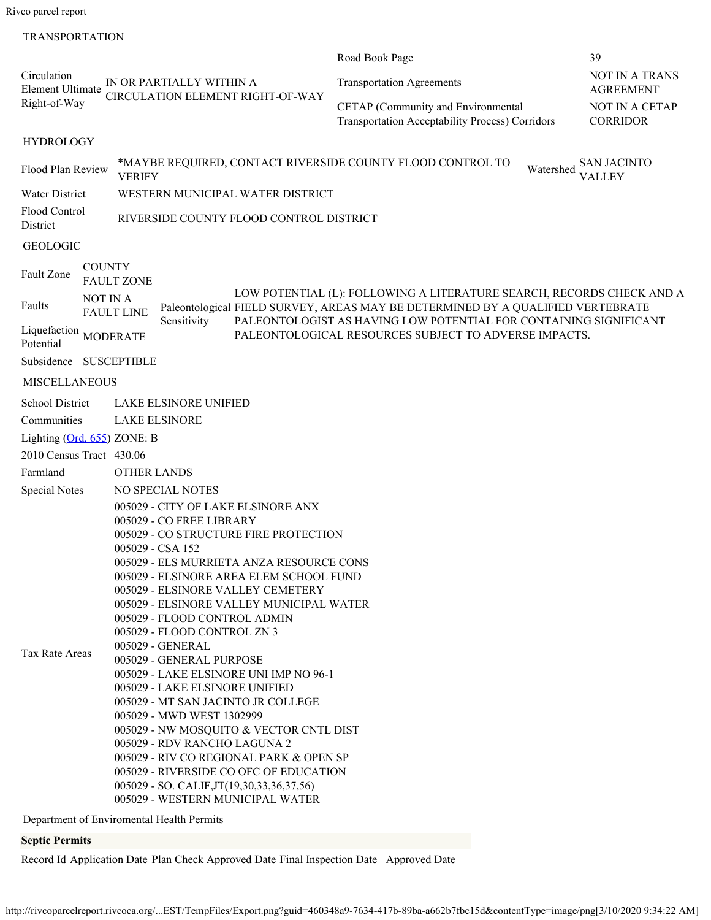Rivco parcel report

### **TRANSPORTATION**

|                                        |                 |                                                                                                                                                                                                                                                                                                                                                                                                                                                                                                                                                                                                                                                                                                                                                                                                                         | Road Book Page                                                                                                                                                                                                                | 39                                        |
|----------------------------------------|-----------------|-------------------------------------------------------------------------------------------------------------------------------------------------------------------------------------------------------------------------------------------------------------------------------------------------------------------------------------------------------------------------------------------------------------------------------------------------------------------------------------------------------------------------------------------------------------------------------------------------------------------------------------------------------------------------------------------------------------------------------------------------------------------------------------------------------------------------|-------------------------------------------------------------------------------------------------------------------------------------------------------------------------------------------------------------------------------|-------------------------------------------|
| Circulation<br><b>Element Ultimate</b> |                 | IN OR PARTIALLY WITHIN A<br><b>CIRCULATION ELEMENT RIGHT-OF-WAY</b>                                                                                                                                                                                                                                                                                                                                                                                                                                                                                                                                                                                                                                                                                                                                                     | <b>Transportation Agreements</b>                                                                                                                                                                                              | <b>NOT IN A TRANS</b><br><b>AGREEMENT</b> |
| Right-of-Way                           |                 |                                                                                                                                                                                                                                                                                                                                                                                                                                                                                                                                                                                                                                                                                                                                                                                                                         | CETAP (Community and Environmental<br><b>Transportation Acceptability Process) Corridors</b>                                                                                                                                  | <b>NOT IN A CETAP</b><br><b>CORRIDOR</b>  |
| <b>HYDROLOGY</b>                       |                 |                                                                                                                                                                                                                                                                                                                                                                                                                                                                                                                                                                                                                                                                                                                                                                                                                         |                                                                                                                                                                                                                               |                                           |
| Flood Plan Review                      |                 | *MAYBE REQUIRED, CONTACT RIVERSIDE COUNTY FLOOD CONTROL TO<br><b>VERIFY</b>                                                                                                                                                                                                                                                                                                                                                                                                                                                                                                                                                                                                                                                                                                                                             | Watershed                                                                                                                                                                                                                     | <b>SAN JACINTO</b><br><b>VALLEY</b>       |
| Water District                         |                 | WESTERN MUNICIPAL WATER DISTRICT                                                                                                                                                                                                                                                                                                                                                                                                                                                                                                                                                                                                                                                                                                                                                                                        |                                                                                                                                                                                                                               |                                           |
| <b>Flood Control</b><br>District       |                 | RIVERSIDE COUNTY FLOOD CONTROL DISTRICT                                                                                                                                                                                                                                                                                                                                                                                                                                                                                                                                                                                                                                                                                                                                                                                 |                                                                                                                                                                                                                               |                                           |
| <b>GEOLOGIC</b>                        |                 |                                                                                                                                                                                                                                                                                                                                                                                                                                                                                                                                                                                                                                                                                                                                                                                                                         |                                                                                                                                                                                                                               |                                           |
| Fault Zone                             | <b>COUNTY</b>   | <b>FAULT ZONE</b>                                                                                                                                                                                                                                                                                                                                                                                                                                                                                                                                                                                                                                                                                                                                                                                                       |                                                                                                                                                                                                                               |                                           |
| Faults                                 | NOT IN A        | <b>FAULT LINE</b><br>Sensitivity                                                                                                                                                                                                                                                                                                                                                                                                                                                                                                                                                                                                                                                                                                                                                                                        | LOW POTENTIAL (L): FOLLOWING A LITERATURE SEARCH, RECORDS CHECK AND A<br>Paleontological FIELD SURVEY, AREAS MAY BE DETERMINED BY A QUALIFIED VERTEBRATE<br>PALEONTOLOGIST AS HAVING LOW POTENTIAL FOR CONTAINING SIGNIFICANT |                                           |
| Liquefaction<br>Potential              | <b>MODERATE</b> |                                                                                                                                                                                                                                                                                                                                                                                                                                                                                                                                                                                                                                                                                                                                                                                                                         | PALEONTOLOGICAL RESOURCES SUBJECT TO ADVERSE IMPACTS.                                                                                                                                                                         |                                           |
| Subsidence SUSCEPTIBLE                 |                 |                                                                                                                                                                                                                                                                                                                                                                                                                                                                                                                                                                                                                                                                                                                                                                                                                         |                                                                                                                                                                                                                               |                                           |
| <b>MISCELLANEOUS</b>                   |                 |                                                                                                                                                                                                                                                                                                                                                                                                                                                                                                                                                                                                                                                                                                                                                                                                                         |                                                                                                                                                                                                                               |                                           |
| <b>School District</b>                 |                 | <b>LAKE ELSINORE UNIFIED</b>                                                                                                                                                                                                                                                                                                                                                                                                                                                                                                                                                                                                                                                                                                                                                                                            |                                                                                                                                                                                                                               |                                           |
| Communities                            |                 | <b>LAKE ELSINORE</b>                                                                                                                                                                                                                                                                                                                                                                                                                                                                                                                                                                                                                                                                                                                                                                                                    |                                                                                                                                                                                                                               |                                           |
| Lighting (Ord. 655) ZONE: B            |                 |                                                                                                                                                                                                                                                                                                                                                                                                                                                                                                                                                                                                                                                                                                                                                                                                                         |                                                                                                                                                                                                                               |                                           |
| 2010 Census Tract 430.06               |                 |                                                                                                                                                                                                                                                                                                                                                                                                                                                                                                                                                                                                                                                                                                                                                                                                                         |                                                                                                                                                                                                                               |                                           |
| Farmland                               |                 | <b>OTHER LANDS</b>                                                                                                                                                                                                                                                                                                                                                                                                                                                                                                                                                                                                                                                                                                                                                                                                      |                                                                                                                                                                                                                               |                                           |
| <b>Special Notes</b>                   |                 | NO SPECIAL NOTES                                                                                                                                                                                                                                                                                                                                                                                                                                                                                                                                                                                                                                                                                                                                                                                                        |                                                                                                                                                                                                                               |                                           |
| Tax Rate Areas                         |                 | 005029 - CITY OF LAKE ELSINORE ANX<br>005029 - CO FREE LIBRARY<br>005029 - CO STRUCTURE FIRE PROTECTION<br>005029 - CSA 152<br>005029 - ELS MURRIETA ANZA RESOURCE CONS<br>005029 - ELSINORE AREA ELEM SCHOOL FUND<br>005029 - ELSINORE VALLEY CEMETERY<br>005029 - ELSINORE VALLEY MUNICIPAL WATER<br>005029 - FLOOD CONTROL ADMIN<br>005029 - FLOOD CONTROL ZN 3<br>005029 - GENERAL<br>005029 - GENERAL PURPOSE<br>005029 - LAKE ELSINORE UNI IMP NO 96-1<br>005029 - LAKE ELSINORE UNIFIED<br>005029 - MT SAN JACINTO JR COLLEGE<br>005029 - MWD WEST 1302999<br>005029 - NW MOSQUITO & VECTOR CNTL DIST<br>005029 - RDV RANCHO LAGUNA 2<br>005029 - RIV CO REGIONAL PARK & OPEN SP<br>005029 - RIVERSIDE CO OFC OF EDUCATION<br>005029 - SO. CALIF, JT(19, 30, 33, 36, 37, 56)<br>005029 - WESTERN MUNICIPAL WATER |                                                                                                                                                                                                                               |                                           |
|                                        |                 | Department of Enviromental Health Permits                                                                                                                                                                                                                                                                                                                                                                                                                                                                                                                                                                                                                                                                                                                                                                               |                                                                                                                                                                                                                               |                                           |

## **Septic Permits**

Record Id Application Date Plan Check Approved Date Final Inspection Date Approved Date